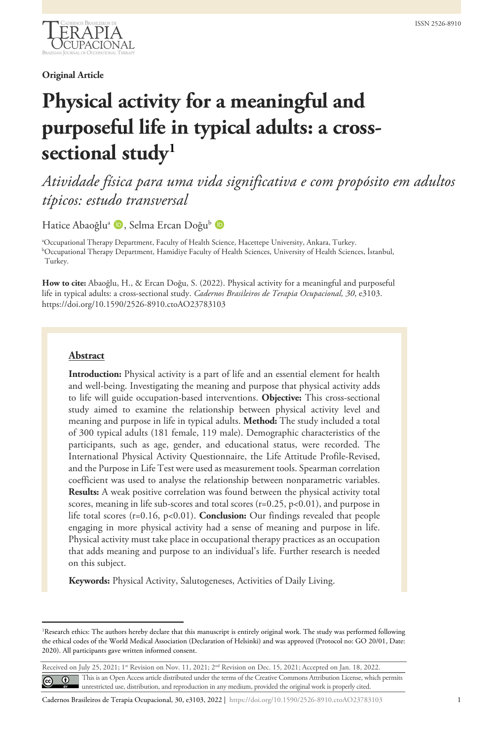

**Original Article**

# **Physical activity for a meaningful and purposeful life in typical adults: a crosssectional stud[y1](#page-0-0)**

# *Atividade física para uma vida significativa e com propósito em adultos típicos: estudo transversal*

Hatice Abaoğlu<sup>a</sup> D, Selma Ercan Doğu<sup>b</sup> D

a Occupational Therapy Department, Faculty of Health Science, Hacettepe University, Ankara, Turkey. b Occupational Therapy Department, Hamidiye Faculty of Health Sciences, University of Health Sciences, İstanbul, Turkey.

**How to cite:** Abaoğlu, H., & Ercan Doğu, S. (2022). Physical activity for a meaningful and purposeful life in typical adults: a cross-sectional study. *Cadernos Brasileiros de Terapia Ocupacional, 30*, e3103. https://doi.org/10.1590/2526-8910.ctoAO23783103

#### **Abstract**

**Introduction:** Physical activity is a part of life and an essential element for health and well-being. Investigating the meaning and purpose that physical activity adds to life will guide occupation-based interventions. **Objective:** This cross-sectional study aimed to examine the relationship between physical activity level and meaning and purpose in life in typical adults. **Method:** The study included a total of 300 typical adults (181 female, 119 male). Demographic characteristics of the participants, such as age, gender, and educational status, were recorded. The International Physical Activity Questionnaire, the Life Attitude Profile-Revised, and the Purpose in Life Test were used as measurement tools. Spearman correlation coefficient was used to analyse the relationship between nonparametric variables. **Results:** A weak positive correlation was found between the physical activity total scores, meaning in life sub-scores and total scores  $(r=0.25, p<0.01)$ , and purpose in life total scores (r=0.16, p<0.01). **Conclusion:** Our findings revealed that people engaging in more physical activity had a sense of meaning and purpose in life. Physical activity must take place in occupational therapy practices as an occupation that adds meaning and purpose to an individual's life. Further research is needed on this subject.

**Keywords:** Physical Activity, Salutogeneses, Activities of Daily Living.

<span id="page-0-0"></span><sup>1</sup> Research ethics: The authors hereby declare that this manuscript is entirely original work. The study was performed following the ethical codes of the World Medical Association (Declaration of Helsinki) and was approved (Protocol no: GO 20/01, Date: 2020). All participants gave written informed consent.

Received on July 25, 2021; 1st Revision on Nov. 11, 2021; 2<sup>nd</sup> Revision on Dec. 15, 2021; Accepted on Jan. 18, 2022. This is an Open Access article distributed under the terms of the Creative Commons Attribution License, which permits  $\left[\mathbf{c}\right]$  $\odot$ unrestricted use, distribution, and reproduction in any medium, provided the original work is properly cited.

Cadernos Brasileiros de Terapia Ocupacional, 30, e3103, 2022 | https://doi.org/10.1590/2526-8910.ctoAO23783103 1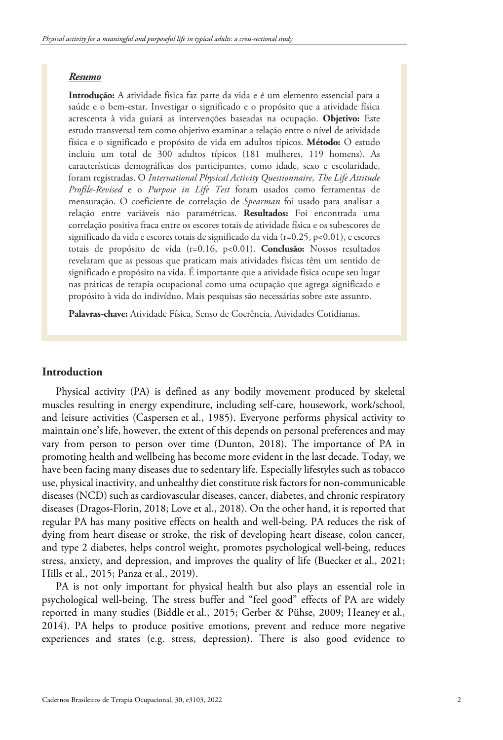#### *Resumo*

**Introdução:** A atividade física faz parte da vida e é um elemento essencial para a saúde e o bem-estar. Investigar o significado e o propósito que a atividade física acrescenta à vida guiará as intervenções baseadas na ocupação. **Objetivo:** Este estudo transversal tem como objetivo examinar a relação entre o nível de atividade física e o significado e propósito de vida em adultos típicos. **Método:** O estudo incluiu um total de 300 adultos típicos (181 mulheres, 119 homens). As características demográficas dos participantes, como idade, sexo e escolaridade, foram registradas. O *International Physical Activity Questionnaire, The Life Attitude Profile-Revised* e o *Purpose in Life Test* foram usados como ferramentas de mensuração. O coeficiente de correlação de *Spearman* foi usado para analisar a relação entre variáveis não paramétricas. **Resultados:** Foi encontrada uma correlação positiva fraca entre os escores totais de atividade física e os subescores de significado da vida e escores totais de significado da vida (r=0.25, p<0.01), e escores totais de propósito de vida (r=0.16, p<0.01). **Conclusão:** Nossos resultados revelaram que as pessoas que praticam mais atividades físicas têm um sentido de significado e propósito na vida. É importante que a atividade física ocupe seu lugar nas práticas de terapia ocupacional como uma ocupação que agrega significado e propósito à vida do indivíduo. Mais pesquisas são necessárias sobre este assunto.

**Palavras-chave:** Atividade Física, Senso de Coerência, Atividades Cotidianas.

#### **Introduction**

Physical activity (PA) is defined as any bodily movement produced by skeletal muscles resulting in energy expenditure, including self-care, housework, work/school, and leisure activities (Caspersen et al., 1985). Everyone performs physical activity to maintain one's life, however, the extent of this depends on personal preferences and may vary from person to person over time (Dunton, 2018). The importance of PA in promoting health and wellbeing has become more evident in the last decade. Today, we have been facing many diseases due to sedentary life. Especially lifestyles such as tobacco use, physical inactivity, and unhealthy diet constitute risk factors for non-communicable diseases (NCD) such as cardiovascular diseases, cancer, diabetes, and chronic respiratory diseases (Dragos-Florin, 2018; Love et al., 2018). On the other hand, it is reported that regular PA has many positive effects on health and well-being. PA reduces the risk of dying from heart disease or stroke, the risk of developing heart disease, colon cancer, and type 2 diabetes, helps control weight, promotes psychological well-being, reduces stress, anxiety, and depression, and improves the quality of life (Buecker et al., 2021; Hills et al., 2015; Panza et al., 2019).

PA is not only important for physical health but also plays an essential role in psychological well-being. The stress buffer and "feel good" effects of PA are widely reported in many studies (Biddle et al., 2015; Gerber & Pühse, 2009; Heaney et al., 2014). PA helps to produce positive emotions, prevent and reduce more negative experiences and states (e.g. stress, depression). There is also good evidence to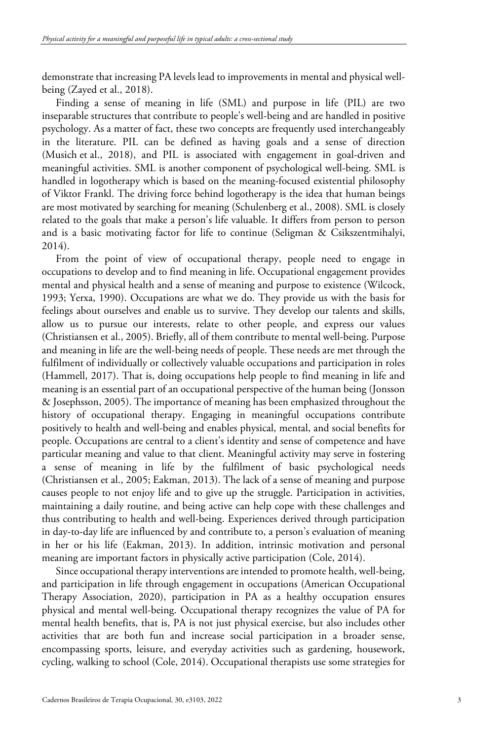demonstrate that increasing PA levels lead to improvements in mental and physical wellbeing (Zayed et al., 2018).

Finding a sense of meaning in life (SML) and purpose in life (PIL) are two inseparable structures that contribute to people's well-being and are handled in positive psychology. As a matter of fact, these two concepts are frequently used interchangeably in the literature. PIL can be defined as having goals and a sense of direction (Musich et al., 2018), and PIL is associated with engagement in goal-driven and meaningful activities. SML is another component of psychological well-being. SML is handled in logotherapy which is based on the meaning-focused existential philosophy of Viktor Frankl. The driving force behind logotherapy is the idea that human beings are most motivated by searching for meaning (Schulenberg et al., 2008). SML is closely related to the goals that make a person's life valuable. It differs from person to person and is a basic motivating factor for life to continue (Seligman & Csikszentmihalyi, 2014).

From the point of view of occupational therapy, people need to engage in occupations to develop and to find meaning in life. Occupational engagement provides mental and physical health and a sense of meaning and purpose to existence (Wilcock, 1993; Yerxa, 1990). Occupations are what we do. They provide us with the basis for feelings about ourselves and enable us to survive. They develop our talents and skills, allow us to pursue our interests, relate to other people, and express our values (Christiansen et al., 2005). Briefly, all of them contribute to mental well-being. Purpose and meaning in life are the well-being needs of people. These needs are met through the fulfilment of individually or collectively valuable occupations and participation in roles (Hammell, 2017). That is, doing occupations help people to find meaning in life and meaning is an essential part of an occupational perspective of the human being (Jonsson & Josephsson, 2005). The importance of meaning has been emphasized throughout the history of occupational therapy. Engaging in meaningful occupations contribute positively to health and well-being and enables physical, mental, and social benefits for people. Occupations are central to a client's identity and sense of competence and have particular meaning and value to that client. Meaningful activity may serve in fostering a sense of meaning in life by the fulfilment of basic psychological needs (Christiansen et al., 2005; Eakman, 2013). The lack of a sense of meaning and purpose causes people to not enjoy life and to give up the struggle. Participation in activities, maintaining a daily routine, and being active can help cope with these challenges and thus contributing to health and well-being. Experiences derived through participation in day-to-day life are influenced by and contribute to, a person's evaluation of meaning in her or his life (Eakman, 2013). In addition, intrinsic motivation and personal meaning are important factors in physically active participation (Cole, 2014).

Since occupational therapy interventions are intended to promote health, well-being, and participation in life through engagement in occupations (American Occupational Therapy Association, 2020), participation in PA as a healthy occupation ensures physical and mental well-being. Occupational therapy recognizes the value of PA for mental health benefits, that is, PA is not just physical exercise, but also includes other activities that are both fun and increase social participation in a broader sense, encompassing sports, leisure, and everyday activities such as gardening, housework, cycling, walking to school (Cole, 2014). Occupational therapists use some strategies for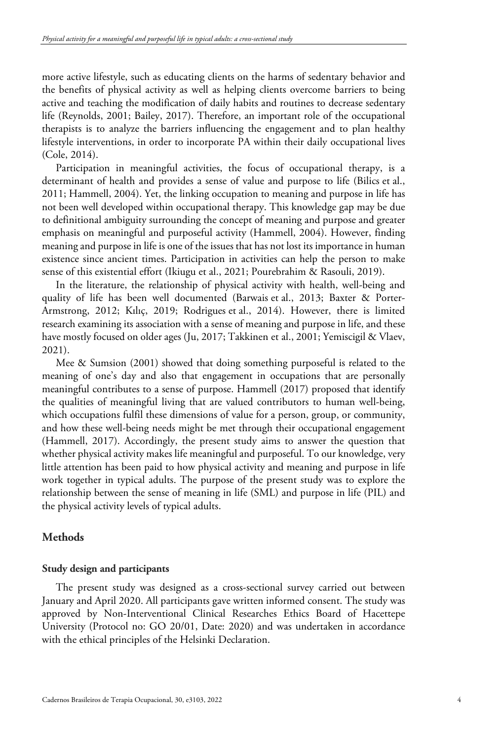more active lifestyle, such as educating clients on the harms of sedentary behavior and the benefits of physical activity as well as helping clients overcome barriers to being active and teaching the modification of daily habits and routines to decrease sedentary life (Reynolds, 2001; Bailey, 2017). Therefore, an important role of the occupational therapists is to analyze the barriers influencing the engagement and to plan healthy lifestyle interventions, in order to incorporate PA within their daily occupational lives (Cole, 2014).

Participation in meaningful activities, the focus of occupational therapy, is a determinant of health and provides a sense of value and purpose to life (Bilics et al., 2011; Hammell, 2004). Yet, the linking occupation to meaning and purpose in life has not been well developed within occupational therapy. This knowledge gap may be due to definitional ambiguity surrounding the concept of meaning and purpose and greater emphasis on meaningful and purposeful activity (Hammell, 2004). However, finding meaning and purpose in life is one of the issues that has not lost its importance in human existence since ancient times. Participation in activities can help the person to make sense of this existential effort (Ikiugu et al., 2021; Pourebrahim & Rasouli, 2019).

In the literature, the relationship of physical activity with health, well-being and quality of life has been well documented (Barwais et al., 2013; Baxter & Porter-Armstrong, 2012; Kılıç, 2019; Rodrigues et al., 2014). However, there is limited research examining its association with a sense of meaning and purpose in life, and these have mostly focused on older ages (Ju, 2017; Takkinen et al., 2001; Yemiscigil & Vlaev, 2021).

Mee & Sumsion (2001) showed that doing something purposeful is related to the meaning of one's day and also that engagement in occupations that are personally meaningful contributes to a sense of purpose. Hammell (2017) proposed that identify the qualities of meaningful living that are valued contributors to human well-being, which occupations fulfil these dimensions of value for a person, group, or community, and how these well-being needs might be met through their occupational engagement (Hammell, 2017). Accordingly, the present study aims to answer the question that whether physical activity makes life meaningful and purposeful. To our knowledge, very little attention has been paid to how physical activity and meaning and purpose in life work together in typical adults. The purpose of the present study was to explore the relationship between the sense of meaning in life (SML) and purpose in life (PIL) and the physical activity levels of typical adults.

#### **Methods**

#### **Study design and participants**

The present study was designed as a cross-sectional survey carried out between January and April 2020. All participants gave written informed consent. The study was approved by Non-Interventional Clinical Researches Ethics Board of Hacettepe University (Protocol no: GO 20/01, Date: 2020) and was undertaken in accordance with the ethical principles of the Helsinki Declaration.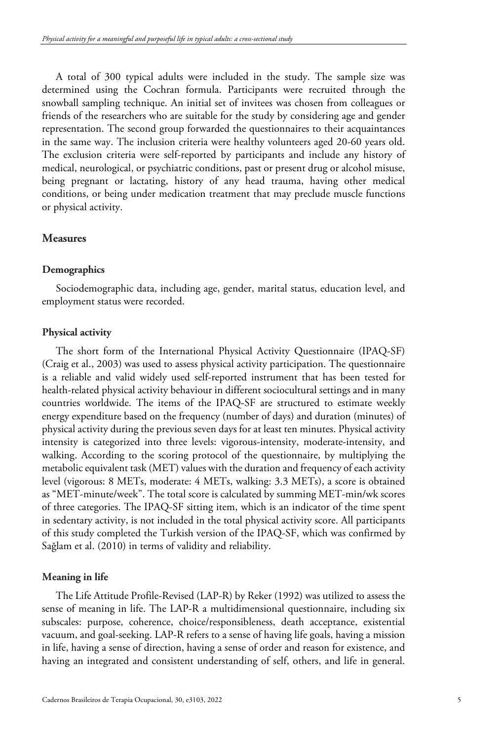A total of 300 typical adults were included in the study. The sample size was determined using the Cochran formula. Participants were recruited through the snowball sampling technique. An initial set of invitees was chosen from colleagues or friends of the researchers who are suitable for the study by considering age and gender representation. The second group forwarded the questionnaires to their acquaintances in the same way. The inclusion criteria were healthy volunteers aged 20-60 years old. The exclusion criteria were self-reported by participants and include any history of medical, neurological, or psychiatric conditions, past or present drug or alcohol misuse, being pregnant or lactating, history of any head trauma, having other medical conditions, or being under medication treatment that may preclude muscle functions or physical activity.

#### **Measures**

#### **Demographics**

Sociodemographic data, including age, gender, marital status, education level, and employment status were recorded.

#### **Physical activity**

The short form of the International Physical Activity Questionnaire (IPAQ-SF) (Craig et al., 2003) was used to assess physical activity participation. The questionnaire is a reliable and valid widely used self-reported instrument that has been tested for health-related physical activity behaviour in different sociocultural settings and in many countries worldwide. The items of the IPAQ-SF are structured to estimate weekly energy expenditure based on the frequency (number of days) and duration (minutes) of physical activity during the previous seven days for at least ten minutes. Physical activity intensity is categorized into three levels: vigorous-intensity, moderate-intensity, and walking. According to the scoring protocol of the questionnaire, by multiplying the metabolic equivalent task (MET) values with the duration and frequency of each activity level (vigorous: 8 METs, moderate: 4 METs, walking: 3.3 METs), a score is obtained as "MET-minute/week". The total score is calculated by summing MET-min/wk scores of three categories. The IPAQ-SF sitting item, which is an indicator of the time spent in sedentary activity, is not included in the total physical activity score. All participants of this study completed the Turkish version of the IPAQ-SF, which was confirmed by Sağlam et al. (2010) in terms of validity and reliability.

#### **Meaning in life**

The Life Attitude Profile-Revised (LAP-R) by Reker (1992) was utilized to assess the sense of meaning in life. The LAP-R a multidimensional questionnaire, including six subscales: purpose, coherence, choice/responsibleness, death acceptance, existential vacuum, and goal-seeking. LAP-R refers to a sense of having life goals, having a mission in life, having a sense of direction, having a sense of order and reason for existence, and having an integrated and consistent understanding of self, others, and life in general.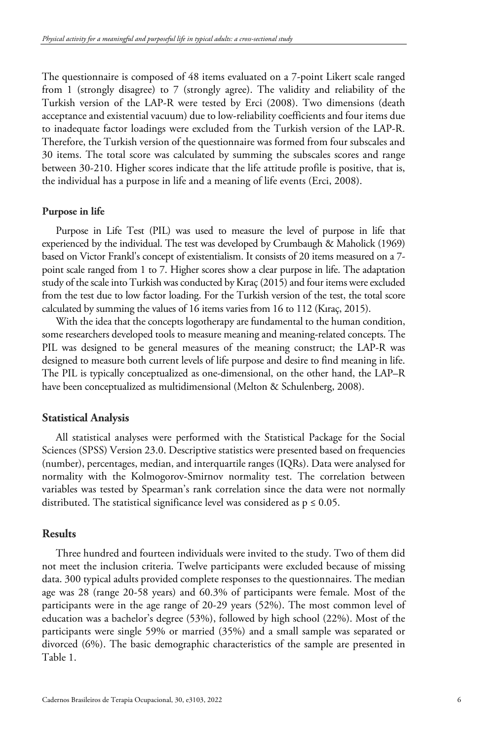The questionnaire is composed of 48 items evaluated on a 7-point Likert scale ranged from 1 (strongly disagree) to 7 (strongly agree). The validity and reliability of the Turkish version of the LAP-R were tested by Erci (2008). Two dimensions (death acceptance and existential vacuum) due to low-reliability coefficients and four items due to inadequate factor loadings were excluded from the Turkish version of the LAP-R. Therefore, the Turkish version of the questionnaire was formed from four subscales and 30 items. The total score was calculated by summing the subscales scores and range between 30-210. Higher scores indicate that the life attitude profile is positive, that is, the individual has a purpose in life and a meaning of life events (Erci, 2008).

#### **Purpose in life**

Purpose in Life Test (PIL) was used to measure the level of purpose in life that experienced by the individual. The test was developed by Crumbaugh & Maholick (1969) based on Victor Frankl's concept of existentialism. It consists of 20 items measured on a 7 point scale ranged from 1 to 7. Higher scores show a clear purpose in life. The adaptation study of the scale into Turkish was conducted by Kıraç (2015) and four items were excluded from the test due to low factor loading. For the Turkish version of the test, the total score calculated by summing the values of 16 items varies from 16 to 112 (Kıraç, 2015).

With the idea that the concepts logotherapy are fundamental to the human condition, some researchers developed tools to measure meaning and meaning-related concepts. The PIL was designed to be general measures of the meaning construct; the LAP-R was designed to measure both current levels of life purpose and desire to find meaning in life. The PIL is typically conceptualized as one-dimensional, on the other hand, the LAP–R have been conceptualized as multidimensional (Melton & Schulenberg, 2008).

#### **Statistical Analysis**

All statistical analyses were performed with the Statistical Package for the Social Sciences (SPSS) Version 23.0. Descriptive statistics were presented based on frequencies (number), percentages, median, and interquartile ranges (IQRs). Data were analysed for normality with the Kolmogorov-Smirnov normality test. The correlation between variables was tested by Spearman's rank correlation since the data were not normally distributed. The statistical significance level was considered as  $p \leq 0.05$ .

#### **Results**

Three hundred and fourteen individuals were invited to the study. Two of them did not meet the inclusion criteria. Twelve participants were excluded because of missing data. 300 typical adults provided complete responses to the questionnaires. The median age was 28 (range 20-58 years) and 60.3% of participants were female. Most of the participants were in the age range of 20-29 years (52%). The most common level of education was a bachelor's degree (53%), followed by high school (22%). Most of the participants were single 59% or married (35%) and a small sample was separated or divorced (6%). The basic demographic characteristics of the sample are presented in Table 1.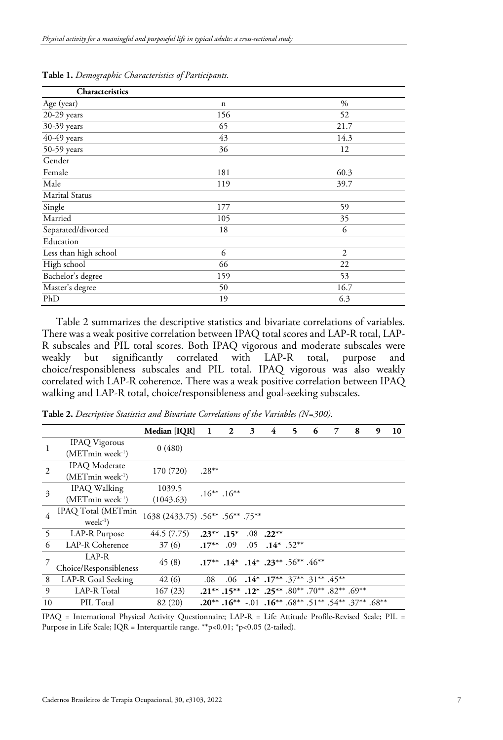| <b>Characteristics</b> |             |      |
|------------------------|-------------|------|
| Age (year)             | $\mathbf n$ | $\%$ |
| 20-29 years            | 156         | 52   |
| 30-39 years            | 65          | 21.7 |
| $40-49$ years          | 43          | 14.3 |
| 50-59 years            | 36          | 12   |
| Gender                 |             |      |
| Female                 | 181         | 60.3 |
| Male                   | 119         | 39.7 |
| <b>Marital Status</b>  |             |      |
| Single                 | 177         | 59   |
| Married                | 105         | 35   |
| Separated/divorced     | 18          | 6    |
| Education              |             |      |
| Less than high school  | 6           | 2    |
| High school            | 66          | 22   |
| Bachelor's degree      | 159         | 53   |
| Master's degree        | 50          | 16.7 |
| PhD                    | 19          | 6.3  |

**Table 1.** *Demographic Characteristics of Participants*.

Table 2 summarizes the descriptive statistics and bivariate correlations of variables. There was a weak positive correlation between IPAQ total scores and LAP-R total, LAP-R subscales and PIL total scores. Both IPAQ vigorous and moderate subscales were weakly but significantly correlated with LAP-R total, purpose and choice/responsibleness subscales and PIL total. IPAQ vigorous was also weakly correlated with LAP-R coherence. There was a weak positive correlation between IPAQ walking and LAP-R total, choice/responsibleness and goal-seeking subscales.

**Table 2.** *Descriptive Statistics and Bivariate Correlations of the Variables (N=300)*.

|                |                                | Median [IQR]                     | 1                 | $\mathbf{2}$                                                                                               | 3 | 4                                | 5 | 6 | 7 | 8 | 9 | 10 |
|----------------|--------------------------------|----------------------------------|-------------------|------------------------------------------------------------------------------------------------------------|---|----------------------------------|---|---|---|---|---|----|
| $\mathbf{1}$   | <b>IPAQ</b> Vigorous           | 0(480)                           |                   |                                                                                                            |   |                                  |   |   |   |   |   |    |
|                | $(METmin$ week <sup>-1</sup> ) |                                  |                   |                                                                                                            |   |                                  |   |   |   |   |   |    |
| $\overline{c}$ | <b>IPAQ</b> Moderate           | 170 (720)                        | $.28***$          |                                                                                                            |   |                                  |   |   |   |   |   |    |
|                | $(METmin week-1)$              |                                  |                   |                                                                                                            |   |                                  |   |   |   |   |   |    |
| 3              | <b>IPAQ</b> Walking            | 1039.5                           | $.16***$ $.16***$ |                                                                                                            |   |                                  |   |   |   |   |   |    |
|                | $(METmin week-1)$              | (1043.63)                        |                   |                                                                                                            |   |                                  |   |   |   |   |   |    |
| $\overline{4}$ | IPAQ Total (METmin             | 1638 (2433.75) .56** .56** .75** |                   |                                                                                                            |   |                                  |   |   |   |   |   |    |
|                | $week^{-1}$                    |                                  |                   |                                                                                                            |   |                                  |   |   |   |   |   |    |
| 5              | LAP-R Purpose                  | 44.5 (7.75)                      | $.23***$ .15*     |                                                                                                            |   | $.08$ .22**                      |   |   |   |   |   |    |
| 6              | LAP-R Coherence                | 37(6)                            | $.17***$          | .09                                                                                                        |   | $.05$ $.14^*$ $.52^{**}$         |   |   |   |   |   |    |
|                | LAP-R                          | 45(8)                            |                   | $.17***$ $.14*$ $.14*$ $.23***$ $.56**$ $.46**$                                                            |   |                                  |   |   |   |   |   |    |
|                | Choice/Responsibleness         |                                  |                   |                                                                                                            |   |                                  |   |   |   |   |   |    |
| 8              | LAP-R Goal Seeking             | 42(6)                            | .08               |                                                                                                            |   | .06 .14* .17** .37** .31** .45** |   |   |   |   |   |    |
| 9              | LAP-R Total                    | 167(23)                          |                   | .21** .15** .12* .80** .70** .82** .69**                                                                   |   |                                  |   |   |   |   |   |    |
| 10             | PIL Total                      | 82 (20)                          |                   | $.20^{**}$ . $.16^{**}$ $-.01$ $.16^{**}$ . $.68^{**}$ . $.51^{**}$ . $.54^{**}$ . $.37^{**}$ . $.68^{**}$ |   |                                  |   |   |   |   |   |    |

IPAQ = International Physical Activity Questionnaire; LAP-R = Life Attitude Profile-Revised Scale; PIL = Purpose in Life Scale; IQR = Interquartile range. \*\*p<0.01; \*p<0.05 (2-tailed).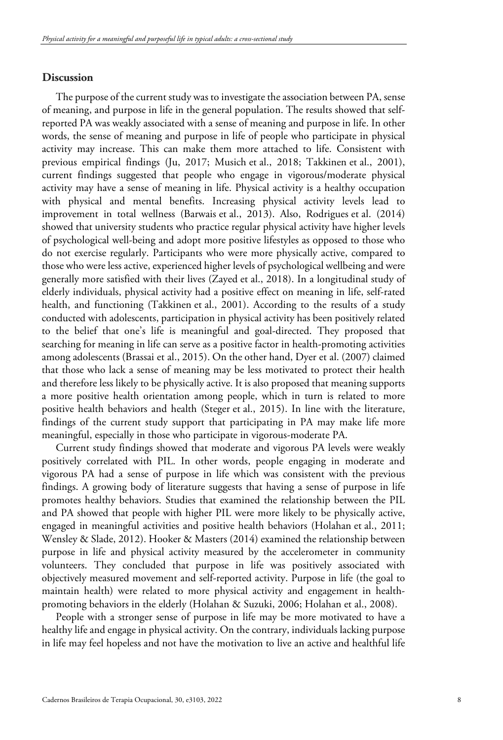### **Discussion**

The purpose of the current study was to investigate the association between PA, sense of meaning, and purpose in life in the general population. The results showed that selfreported PA was weakly associated with a sense of meaning and purpose in life. In other words, the sense of meaning and purpose in life of people who participate in physical activity may increase. This can make them more attached to life. Consistent with previous empirical findings (Ju, 2017; Musich et al., 2018; Takkinen et al., 2001), current findings suggested that people who engage in vigorous/moderate physical activity may have a sense of meaning in life. Physical activity is a healthy occupation with physical and mental benefits. Increasing physical activity levels lead to improvement in total wellness (Barwais et al., 2013). Also, Rodrigues et al. (2014) showed that university students who practice regular physical activity have higher levels of psychological well-being and adopt more positive lifestyles as opposed to those who do not exercise regularly. Participants who were more physically active, compared to those who were less active, experienced higher levels of psychological wellbeing and were generally more satisfied with their lives (Zayed et al., 2018). In a longitudinal study of elderly individuals, physical activity had a positive effect on meaning in life, self-rated health, and functioning (Takkinen et al., 2001). According to the results of a study conducted with adolescents, participation in physical activity has been positively related to the belief that one's life is meaningful and goal-directed. They proposed that searching for meaning in life can serve as a positive factor in health-promoting activities among adolescents (Brassai et al., 2015). On the other hand, Dyer et al. (2007) claimed that those who lack a sense of meaning may be less motivated to protect their health and therefore less likely to be physically active. It is also proposed that meaning supports a more positive health orientation among people, which in turn is related to more positive health behaviors and health (Steger et al., 2015). In line with the literature, findings of the current study support that participating in PA may make life more meaningful, especially in those who participate in vigorous-moderate PA.

Current study findings showed that moderate and vigorous PA levels were weakly positively correlated with PIL. In other words, people engaging in moderate and vigorous PA had a sense of purpose in life which was consistent with the previous findings. A growing body of literature suggests that having a sense of purpose in life promotes healthy behaviors. Studies that examined the relationship between the PIL and PA showed that people with higher PIL were more likely to be physically active, engaged in meaningful activities and positive health behaviors (Holahan et al., 2011; Wensley & Slade, 2012). Hooker & Masters (2014) examined the relationship between purpose in life and physical activity measured by the accelerometer in community volunteers. They concluded that purpose in life was positively associated with objectively measured movement and self-reported activity. Purpose in life (the goal to maintain health) were related to more physical activity and engagement in healthpromoting behaviors in the elderly (Holahan & Suzuki, 2006; Holahan et al., 2008).

People with a stronger sense of purpose in life may be more motivated to have a healthy life and engage in physical activity. On the contrary, individuals lacking purpose in life may feel hopeless and not have the motivation to live an active and healthful life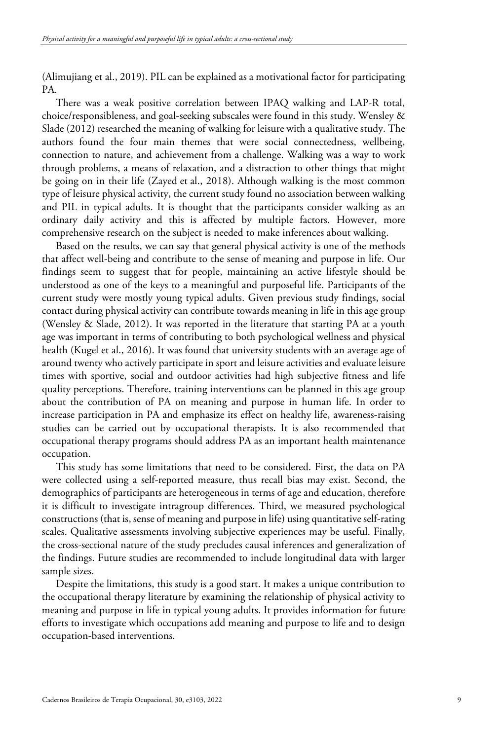(Alimujiang et al., 2019). PIL can be explained as a motivational factor for participating PA.

There was a weak positive correlation between IPAQ walking and LAP-R total, choice/responsibleness, and goal-seeking subscales were found in this study. Wensley & Slade (2012) researched the meaning of walking for leisure with a qualitative study. The authors found the four main themes that were social connectedness, wellbeing, connection to nature, and achievement from a challenge. Walking was a way to work through problems, a means of relaxation, and a distraction to other things that might be going on in their life (Zayed et al., 2018). Although walking is the most common type of leisure physical activity, the current study found no association between walking and PIL in typical adults. It is thought that the participants consider walking as an ordinary daily activity and this is affected by multiple factors. However, more comprehensive research on the subject is needed to make inferences about walking.

Based on the results, we can say that general physical activity is one of the methods that affect well-being and contribute to the sense of meaning and purpose in life. Our findings seem to suggest that for people, maintaining an active lifestyle should be understood as one of the keys to a meaningful and purposeful life. Participants of the current study were mostly young typical adults. Given previous study findings, social contact during physical activity can contribute towards meaning in life in this age group (Wensley & Slade, 2012). It was reported in the literature that starting PA at a youth age was important in terms of contributing to both psychological wellness and physical health (Kugel et al., 2016). It was found that university students with an average age of around twenty who actively participate in sport and leisure activities and evaluate leisure times with sportive, social and outdoor activities had high subjective fitness and life quality perceptions. Therefore, training interventions can be planned in this age group about the contribution of PA on meaning and purpose in human life. In order to increase participation in PA and emphasize its effect on healthy life, awareness-raising studies can be carried out by occupational therapists. It is also recommended that occupational therapy programs should address PA as an important health maintenance occupation.

This study has some limitations that need to be considered. First, the data on PA were collected using a self-reported measure, thus recall bias may exist. Second, the demographics of participants are heterogeneous in terms of age and education, therefore it is difficult to investigate intragroup differences. Third, we measured psychological constructions (that is, sense of meaning and purpose in life) using quantitative self-rating scales. Qualitative assessments involving subjective experiences may be useful. Finally, the cross-sectional nature of the study precludes causal inferences and generalization of the findings. Future studies are recommended to include longitudinal data with larger sample sizes.

Despite the limitations, this study is a good start. It makes a unique contribution to the occupational therapy literature by examining the relationship of physical activity to meaning and purpose in life in typical young adults. It provides information for future efforts to investigate which occupations add meaning and purpose to life and to design occupation-based interventions.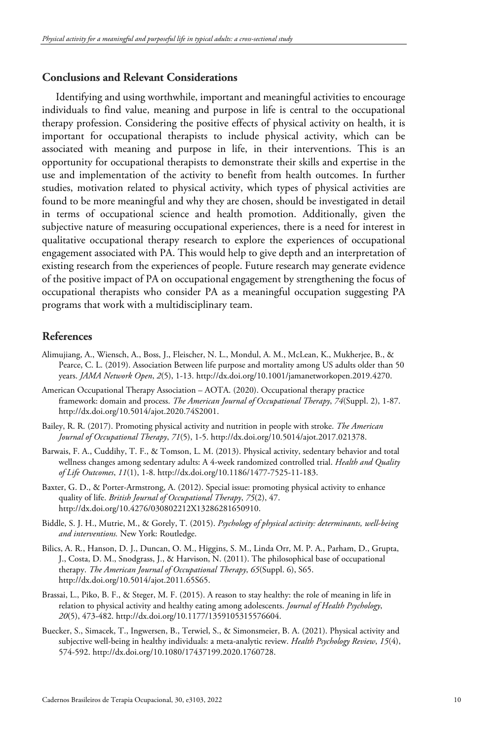# **Conclusions and Relevant Considerations**

Identifying and using worthwhile, important and meaningful activities to encourage individuals to find value, meaning and purpose in life is central to the occupational therapy profession. Considering the positive effects of physical activity on health, it is important for occupational therapists to include physical activity, which can be associated with meaning and purpose in life, in their interventions. This is an opportunity for occupational therapists to demonstrate their skills and expertise in the use and implementation of the activity to benefit from health outcomes. In further studies, motivation related to physical activity, which types of physical activities are found to be more meaningful and why they are chosen, should be investigated in detail in terms of occupational science and health promotion. Additionally, given the subjective nature of measuring occupational experiences, there is a need for interest in qualitative occupational therapy research to explore the experiences of occupational engagement associated with PA. This would help to give depth and an interpretation of existing research from the experiences of people. Future research may generate evidence of the positive impact of PA on occupational engagement by strengthening the focus of occupational therapists who consider PA as a meaningful occupation suggesting PA programs that work with a multidisciplinary team.

## **References**

- Alimujiang, A., Wiensch, A., Boss, J., Fleischer, N. L., Mondul, A. M., McLean, K., Mukherjee, B., & Pearce, C. L. (2019). Association Between life purpose and mortality among US adults older than 50 years. *JAMA Network Open*, *2*(5), 1-13. [http://dx.doi.org/10.1001/jamanetworkopen.2019.4270.](https://doi.org/10.1001/jamanetworkopen.2019.4270)
- American Occupational Therapy Association AOTA. (2020). Occupational therapy practice framework: domain and process. *The American Journal of Occupational Therapy*, *74*(Suppl. 2), 1-87. http://dx.doi.org/10.5014/ajot.2020.74S2001.
- Bailey, R. R. (2017). Promoting physical activity and nutrition in people with stroke. *The American Journal of Occupational Therapy*, *71*(5), 1-5. [http://dx.doi.org/10.5014/ajot.2017.021378.](https://doi.org/10.5014/ajot.2017.021378)
- Barwais, F. A., Cuddihy, T. F., & Tomson, L. M. (2013). Physical activity, sedentary behavior and total wellness changes among sedentary adults: A 4-week randomized controlled trial. *Health and Quality of Life Outcomes*, *11*(1), 1-8. [http://dx.doi.org/10.1186/1477-7525-11-183.](https://doi.org/10.1186/1477-7525-11-183)
- Baxter, G. D., & Porter-Armstrong, A. (2012). Special issue: promoting physical activity to enhance quality of life. *British Journal of Occupational Therapy*, *75*(2), 47. [http://dx.doi.org/10.4276/030802212X13286281650910.](https://doi.org/10.4276/030802212X13286281650910)
- Biddle, S. J. H., Mutrie, M., & Gorely, T. (2015). *Psychology of physical activity: determinants, well-being and interventions.* New York: Routledge.
- Bilics, A. R., Hanson, D. J., Duncan, O. M., Higgins, S. M., Linda Orr, M. P. A., Parham, D., Grupta, J., Costa, D. M., Snodgrass, J., & Harvison, N. (2011). The philosophical base of occupational therapy. *The American Journal of Occupational Therapy*, *65*(Suppl. 6), S65. [http://dx.doi.org/10.5014/ajot.2011.65S65.](https://doi.org/10.5014/ajot.2011.65S65)
- Brassai, L., Piko, B. F., & Steger, M. F. (2015). A reason to stay healthy: the role of meaning in life in relation to physical activity and healthy eating among adolescents. *Journal of Health Psychology*, *20*(5), 473-482[. http://dx.doi.org/10.1177/1359105315576604.](https://doi.org/10.1177/1359105315576604)
- Buecker, S., Simacek, T., Ingwersen, B., Terwiel, S., & Simonsmeier, B. A. (2021). Physical activity and subjective well-being in healthy individuals: a meta-analytic review. *Health Psychology Review*, *15*(4), 574-592. http://dx.doi.org/10.1080/17437199.2020.1760728.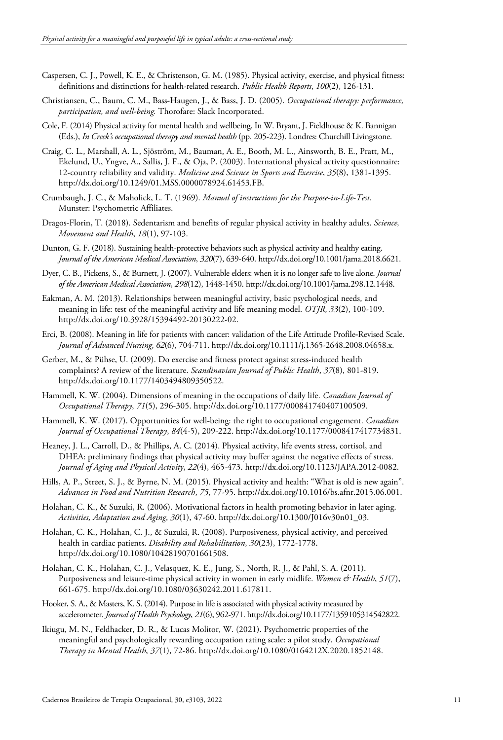- Caspersen, C. J., Powell, K. E., & Christenson, G. M. (1985). Physical activity, exercise, and physical fitness: definitions and distinctions for health-related research. *Public Health Reports*, *100*(2), 126-131.
- Christiansen, C., Baum, C. M., Bass-Haugen, J., & Bass, J. D. (2005). *Occupational therapy: performance, participation, and well-being.* Thorofare: Slack Incorporated.
- Cole, F. (2014) Physical activity for mental health and wellbeing. In W. Bryant, J. Fieldhouse & K. Bannigan (Eds.), *In Creek's occupational therapy and mental health* (pp. 205-223). Londres: Churchill Livingstone.
- Craig, C. L., Marshall, A. L., Sjöström, M., Bauman, A. E., Booth, M. L., Ainsworth, B. E., Pratt, M., Ekelund, U., Yngve, A., Sallis, J. F., & Oja, P. (2003). International physical activity questionnaire: 12-country reliability and validity. *Medicine and Science in Sports and Exercise*, *35*(8), 1381-1395. [http://dx.doi.org/10.1249/01.MSS.0000078924.61453.FB.](https://doi.org/10.1249/01.MSS.0000078924.61453.FB)
- Crumbaugh, J. C., & Maholick, L. T. (1969). *Manual of instructions for the Purpose-in-Life-Test.* Munster: Psychometric Affiliates.
- Dragos-Florin, T. (2018). Sedentarism and benefits of regular physical activity in healthy adults. *Science, Movement and Health*, *18*(1), 97-103.
- Dunton, G. F. (2018). Sustaining health-protective behaviors such as physical activity and healthy eating. *Journal of the American Medical Association*, *320*(7), 639-640[. http://dx.doi.org/10.1001/jama.2018.6621.](https://doi.org/10.1001/jama.2018.6621)
- Dyer, C. B., Pickens, S., & Burnett, J. (2007). Vulnerable elders: when it is no longer safe to live alone. *Journal of the American Medical Association*, *298*(12), 1448-1450[. http://dx.doi.org/10.1001/jama.298.12.1448.](https://doi.org/10.1001/jama.298.12.1448)
- Eakman, A. M. (2013). Relationships between meaningful activity, basic psychological needs, and meaning in life: test of the meaningful activity and life meaning model. *OTJR*, *33*(2), 100-109. [http://dx.doi.org/10.3928/15394492-20130222-02.](https://doi.org/10.3928/15394492-20130222-02)
- Erci, B. (2008). Meaning in life for patients with cancer: validation of the Life Attitude Profile‐Revised Scale. *Journal of Advanced Nursing*, *62*(6), 704-711[. http://dx.doi.org/10.1111/j.1365-2648.2008.04658.x.](https://doi.org/10.1111/j.1365-2648.2008.04658.x)
- Gerber, M., & Pühse, U. (2009). Do exercise and fitness protect against stress-induced health complaints? A review of the literature. *Scandinavian Journal of Public Health*, *37*(8), 801-819. [http://dx.doi.org/10.1177/1403494809350522.](https://doi.org/10.1177/1403494809350522)
- Hammell, K. W. (2004). Dimensions of meaning in the occupations of daily life. *Canadian Journal of Occupational Therapy*, *71*(5), 296-305[. http://dx.doi.org/10.1177/000841740407100509.](https://doi.org/10.1177/000841740407100509)
- Hammell, K. W. (2017). Opportunities for well-being: the right to occupational engagement. *Canadian Journal of Occupational Therapy*, *84*(4-5), 209-222. [http://dx.doi.org/10.1177/0008417417734831.](https://doi.org/10.1177/0008417417734831)
- Heaney, J. L., Carroll, D., & Phillips, A. C. (2014). Physical activity, life events stress, cortisol, and DHEA: preliminary findings that physical activity may buffer against the negative effects of stress. *Journal of Aging and Physical Activity*, *22*(4), 465-473[. http://dx.doi.org/10.1123/JAPA.2012-0082.](https://doi.org/10.1123/JAPA.2012-0082)
- Hills, A. P., Street, S. J., & Byrne, N. M. (2015). Physical activity and health: "What is old is new again". *Advances in Food and Nutrition Research*, *75*, 77-95[. http://dx.doi.org/10.1016/bs.afnr.2015.06.001.](https://doi.org/10.1016/bs.afnr.2015.06.001)
- Holahan, C. K., & Suzuki, R. (2006). Motivational factors in health promoting behavior in later aging. *Activities, Adaptation and Aging*, *30*(1), 47-60. [http://dx.doi.org/10.1300/J016v30n01\\_03.](https://doi.org/10.1300/J016v30n01_03)
- Holahan, C. K., Holahan, C. J., & Suzuki, R. (2008). Purposiveness, physical activity, and perceived health in cardiac patients. *Disability and Rehabilitation*, *30*(23), 1772-1778. [http://dx.doi.org/10.1080/10428190701661508.](https://doi.org/10.1080/10428190701661508)
- Holahan, C. K., Holahan, C. J., Velasquez, K. E., Jung, S., North, R. J., & Pahl, S. A. (2011). Purposiveness and leisure-time physical activity in women in early midlife. *Women & Health*, *51*(7), 661-675. [http://dx.doi.org/10.1080/03630242.2011.617811.](https://doi.org/10.1080/03630242.2011.617811)
- Hooker, S. A., & Masters, K. S. (2014). Purpose in life is associated with physical activity measured by accelerometer. *Journal of Health Psychology*, *21*(6), 962-971[. http://dx.doi.org/10.1177/1359105314542822.](https://doi.org/10.1177/1359105314542822)
- Ikiugu, M. N., Feldhacker, D. R., & Lucas Molitor, W. (2021). Psychometric properties of the meaningful and psychologically rewarding occupation rating scale: a pilot study. *Occupational Therapy in Mental Health*, *37*(1), 72-86[. http://dx.doi.org/10.1080/0164212X.2020.1852148.](https://doi.org/10.1080/0164212X.2020.1852148)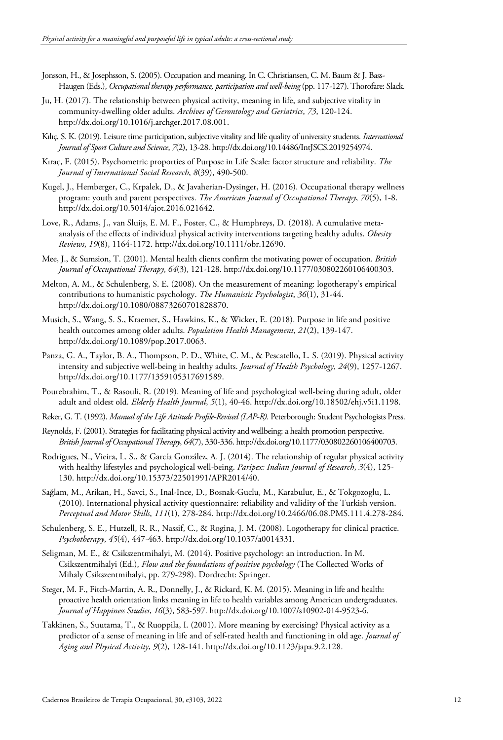- Jonsson, H., & Josephsson, S. (2005). Occupation and meaning. In C. Christiansen, C. M. Baum & J. Bass-Haugen (Eds.), *Occupational therapy performance, participation and well-being*(pp. 117-127). Thorofare: Slack.
- Ju, H. (2017). The relationship between physical activity, meaning in life, and subjective vitality in community-dwelling older adults. *Archives of Gerontology and Geriatrics*, *73*, 120-124. [http://dx.doi.org/10.1016/j.archger.2017.08.001.](https://doi.org/10.1016/j.archger.2017.08.001)
- Kılıç, S. K. (2019). Leisure time participation, subjective vitality and life quality of university students. *International Journal of Sport Culture and Science*, *7*(2), 13-28[. http://dx.doi.org/10.14486/IntJSCS.2019254974.](https://doi.org/10.14486/IntJSCS.2019254974)
- Kıraç, F. (2015). Psychometric proporties of Purpose in Life Scale: factor structure and reliability. *The Journal of International Social Research*, *8*(39), 490-500.
- Kugel, J., Hemberger, C., Krpalek, D., & Javaherian-Dysinger, H. (2016). Occupational therapy wellness program: youth and parent perspectives. *The American Journal of Occupational Therapy*, *70*(5), 1-8. [http://dx.doi.org/10.5014/ajot.2016.021642.](https://doi.org/10.5014/ajot.2016.021642)
- Love, R., Adams, J., van Sluijs, E. M. F., Foster, C., & Humphreys, D. (2018). A cumulative meta‐ analysis of the effects of individual physical activity interventions targeting healthy adults. *Obesity Reviews*, *19*(8), 1164-1172. [http://dx.doi.org/10.1111/obr.12690.](https://doi.org/10.1111/obr.12690)
- Mee, J., & Sumsion, T. (2001). Mental health clients confirm the motivating power of occupation. *British Journal of Occupational Therapy*, *64*(3), 121-128. [http://dx.doi.org/10.1177/030802260106400303.](https://doi.org/10.1177/030802260106400303)
- Melton, A. M., & Schulenberg, S. E. (2008). On the measurement of meaning: logotherapy's empirical contributions to humanistic psychology. *The Humanistic Psychologist*, *36*(1), 31-44. [http://dx.doi.org/10.1080/08873260701828870.](https://doi.org/10.1080/08873260701828870)
- Musich, S., Wang, S. S., Kraemer, S., Hawkins, K., & Wicker, E. (2018). Purpose in life and positive health outcomes among older adults. *Population Health Management*, *21*(2), 139-147. [http://dx.doi.org/10.1089/pop.2017.0063.](https://doi.org/10.1089/pop.2017.0063)
- Panza, G. A., Taylor, B. A., Thompson, P. D., White, C. M., & Pescatello, L. S. (2019). Physical activity intensity and subjective well-being in healthy adults. *Journal of Health Psychology*, *24*(9), 1257-1267. [http://dx.doi.org/10.1177/1359105317691589.](https://doi.org/10.1177/1359105317691589)
- Pourebrahim, T., & Rasouli, R. (2019). Meaning of life and psychological well-being during adult, older adult and oldest old. *Elderly Health Journal*, *5*(1), 40-46. [http://dx.doi.org/10.18502/ehj.v5i1.1198.](https://doi.org/10.18502/ehj.v5i1.1198)
- Reker, G. T. (1992). *Manual of the Life Attitude Profile-Revised (LAP-R).* Peterborough: Student Psychologists Press.
- Reynolds, F. (2001). Strategies for facilitating physical activity and wellbeing: a health promotion perspective. *British Journal of Occupational Therapy*, *64*(7), 330-336[. http://dx.doi.org/10.1177/030802260106400703.](https://doi.org/10.1177/030802260106400703)
- Rodrigues, N., Vieira, L. S., & García González, A. J. (2014). The relationship of regular physical activity with healthy lifestyles and psychological well-being. *Paripex: Indian Journal of Research*, *3*(4), 125- 130[. http://dx.doi.org/10.15373/22501991/APR2014/40.](https://doi.org/10.15373/22501991/APR2014/40)
- Sağlam, M., Arikan, H., Savci, S., Inal-Ince, D., Bosnak-Guclu, M., Karabulut, E., & Tokgozoglu, L. (2010). International physical activity questionnaire: reliability and validity of the Turkish version. *Perceptual and Motor Skills*, *111*(1), 278-284. [http://dx.doi.org/10.2466/06.08.PMS.111.4.278-284.](https://doi.org/10.2466/06.08.PMS.111.4.278-284)
- Schulenberg, S. E., Hutzell, R. R., Nassif, C., & Rogina, J. M. (2008). Logotherapy for clinical practice. *Psychotherapy*, *45*(4), 447-463. [http://dx.doi.org/10.1037/a0014331.](https://doi.org/10.1037/a0014331)
- Seligman, M. E., & Csikszentmihalyi, M. (2014). Positive psychology: an introduction. In M. Csikszentmihalyi (Ed.), *Flow and the foundations of positive psychology* (The Collected Works of Mihaly Csikszentmihalyi, pp. 279-298). Dordrecht: Springer.
- Steger, M. F., Fitch-Martin, A. R., Donnelly, J., & Rickard, K. M. (2015). Meaning in life and health: proactive health orientation links meaning in life to health variables among American undergraduates. *Journal of Happiness Studies*, *16*(3), 583-597[. http://dx.doi.org/10.1007/s10902-014-9523-6.](https://doi.org/10.1007/s10902-014-9523-6)
- Takkinen, S., Suutama, T., & Ruoppila, I. (2001). More meaning by exercising? Physical activity as a predictor of a sense of meaning in life and of self-rated health and functioning in old age. *Journal of Aging and Physical Activity*, *9*(2), 128-141[. http://dx.doi.org/10.1123/japa.9.2.128.](https://doi.org/10.1123/japa.9.2.128)